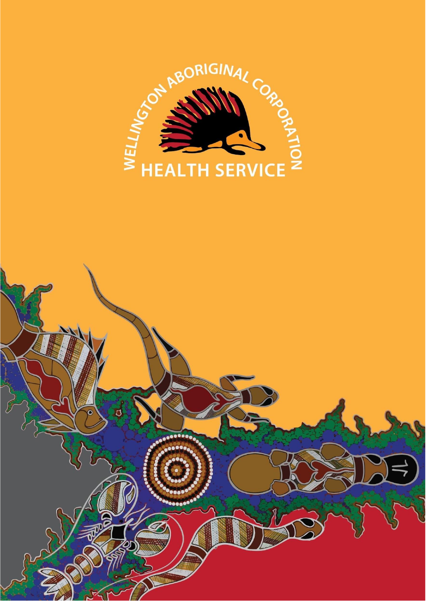

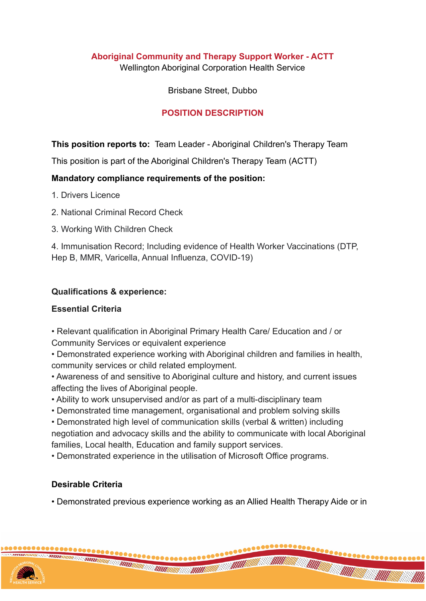# **Aboriginal Community and Therapy Support Worker - ACTT**

Wellington Aboriginal Corporation Health Service

#### Brisbane Street, Dubbo

### **POSITION DESCRIPTION**

**This position reports to:** Team Leader - Aboriginal Children's Therapy Team

This position is part of the Aboriginal Children's Therapy Team (ACTT)

### **Mandatory compliance requirements of the position:**

- 1. Drivers Licence
- 2. National Criminal Record Check
- 3. Working With Children Check

4. Immunisation Record; Including evidence of Health Worker Vaccinations (DTP, Hep B, MMR, Varicella, Annual Influenza, COVID-19)

### **Qualifications & experience:**

# **Essential Criteria**

• Relevant qualification in Aboriginal Primary Health Care/ Education and / or Community Services or equivalent experience

• Demonstrated experience working with Aboriginal children and families in health, community services or child related employment.

• Awareness of and sensitive to Aboriginal culture and history, and current issues affecting the lives of Aboriginal people.

• Ability to work unsupervised and/or as part of a multi-disciplinary team

• Demonstrated time management, organisational and problem solving skills

• Demonstrated high level of communication skills (verbal & written) including negotiation and advocacy skills and the ability to communicate with local Aboriginal families, Local health, Education and family support services.

• Demonstrated experience in the utilisation of Microsoft Office programs.

# **Desirable Criteria**

• Demonstrated previous experience working as an Allied Health Therapy Aide or in

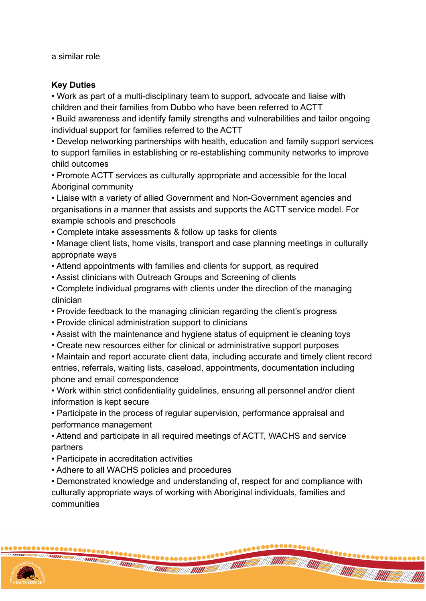a similar role

### **Key Duties**

• Work as part of a multi-disciplinary team to support, advocate and liaise with children and their families from Dubbo who have been referred to ACTT

• Build awareness and identify family strengths and vulnerabilities and tailor ongoing individual support for families referred to the ACTT

• Develop networking partnerships with health, education and family support services to support families in establishing or re-establishing community networks to improve child outcomes

• Promote ACTT services as culturally appropriate and accessible for the local Aboriginal community

• Liaise with a variety of allied Government and Non-Government agencies and organisations in a manner that assists and supports the ACTT service model. For example schools and preschools

• Complete intake assessments & follow up tasks for clients

• Manage client lists, home visits, transport and case planning meetings in culturally appropriate ways

• Attend appointments with families and clients for support, as required

- Assist clinicians with Outreach Groups and Screening of clients
- Complete individual programs with clients under the direction of the managing clinician
- Provide feedback to the managing clinician regarding the client's progress
- Provide clinical administration support to clinicians
- Assist with the maintenance and hygiene status of equipment ie cleaning toys
- Create new resources either for clinical or administrative support purposes

• Maintain and report accurate client data, including accurate and timely client record entries, referrals, waiting lists, caseload, appointments, documentation including phone and email correspondence

• Work within strict confidentiality guidelines, ensuring all personnel and/or client information is kept secure

• Participate in the process of regular supervision, performance appraisal and performance management

• Attend and participate in all required meetings of ACTT, WACHS and service partners

- Participate in accreditation activities
- Adhere to all WACHS policies and procedures

• Demonstrated knowledge and understanding of, respect for and compliance with culturally appropriate ways of working with Aboriginal individuals, families and communities

**THE CONTRACTOR**